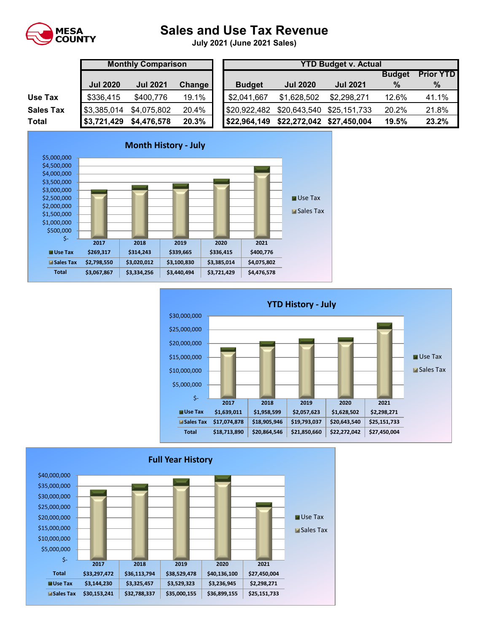

## **Sales and Use Tax Revenue**

**July 2021 (June 2021 Sales)** 

|                  |                                    | <b>Monthly Comparison</b> |               |               |                          | <b>YTD Budget v. Ad</b> |
|------------------|------------------------------------|---------------------------|---------------|---------------|--------------------------|-------------------------|
|                  | <b>Jul 2020</b><br><b>Jul 2021</b> |                           | <b>Change</b> | <b>Budget</b> | <b>Jul 2020</b>          | <b>Jul 2021</b>         |
| Use Tax          | \$336,415                          | \$400,776                 | 19.1%         | \$2,041,667   | \$1,628,502              | \$2,298,27              |
| <b>Sales Tax</b> | \$3,385,014                        | \$4,075,802               | 20.4%         | \$20,922,482  | \$20,643,540 \$25,151,73 |                         |
| <b>Total</b>     | \$3,721,429                        | \$4,476,578               | 20.3%         | \$22,964,149  | \$22,272,042             | \$27,450,00             |

|                  |                 | <b>Monthly Comparison</b> |        |  | <b>YTD Budget v. Actual</b> |                           |                 |               |                  |  |  |  |  |
|------------------|-----------------|---------------------------|--------|--|-----------------------------|---------------------------|-----------------|---------------|------------------|--|--|--|--|
|                  |                 |                           |        |  |                             |                           |                 | <b>Budget</b> | <b>Prior YTD</b> |  |  |  |  |
|                  | <b>Jul 2020</b> | <b>Jul 2021</b>           | Change |  | <b>Budget</b>               | <b>Jul 2020</b>           | <b>Jul 2021</b> | $\%$          | $\%$             |  |  |  |  |
| Use Tax          | \$336,415       | \$400,776                 | 19.1%  |  | \$2,041,667                 | \$1,628,502               | \$2,298,271     | 12.6%         | 41.1%            |  |  |  |  |
| <b>Sales Tax</b> | \$3,385,014     | \$4,075,802               | 20.4%  |  | \$20,922,482                | \$20,643,540 \$25,151,733 |                 | 20.2%         | 21.8%            |  |  |  |  |
| Total            | \$3,721,429     | \$4,476,578               | 20.3%  |  | \$22,964,149                | \$22,272,042 \$27,450,004 |                 | 19.5%         | 23.2%            |  |  |  |  |





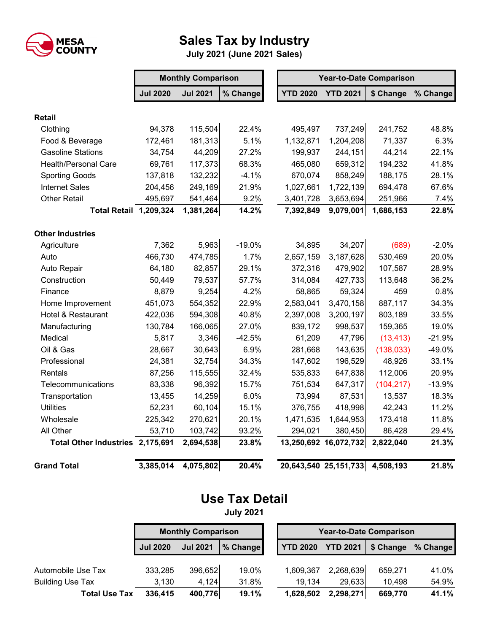

## **Sales Tax by Industry**

**July 2021 (June 2021 Sales)**

|                                  |                 | <b>Monthly Comparison</b> |          | <b>Year-to-Date Comparison</b> |                                 |            |          |  |
|----------------------------------|-----------------|---------------------------|----------|--------------------------------|---------------------------------|------------|----------|--|
|                                  | <b>Jul 2020</b> | <b>Jul 2021</b>           | % Change | <b>YTD 2020</b>                | <b>YTD 2021</b>                 | \$ Change  | % Change |  |
| <b>Retail</b>                    |                 |                           |          |                                |                                 |            |          |  |
| Clothing                         | 94,378          | 115,504                   | 22.4%    | 495,497                        | 737,249                         | 241,752    | 48.8%    |  |
| Food & Beverage                  | 172,461         | 181,313                   | 5.1%     | 1,132,871                      | 1,204,208                       | 71,337     | 6.3%     |  |
| <b>Gasoline Stations</b>         | 34,754          | 44,209                    | 27.2%    | 199,937                        | 244,151                         | 44,214     | 22.1%    |  |
| <b>Health/Personal Care</b>      | 69,761          | 117,373                   | 68.3%    | 465,080                        | 659,312                         | 194,232    | 41.8%    |  |
| <b>Sporting Goods</b>            | 137,818         | 132,232                   | $-4.1%$  | 670,074                        | 858,249                         | 188,175    | 28.1%    |  |
| <b>Internet Sales</b>            | 204,456         | 249,169                   | 21.9%    | 1,027,661                      | 1,722,139                       | 694,478    | 67.6%    |  |
| Other Retail                     | 495,697         | 541,464                   | 9.2%     | 3,401,728                      | 3,653,694                       | 251,966    | 7.4%     |  |
| <b>Total Retail 1,209,324</b>    |                 | 1,381,264                 | 14.2%    | 7,392,849                      | 9,079,001                       | 1,686,153  | 22.8%    |  |
| <b>Other Industries</b>          |                 |                           |          |                                |                                 |            |          |  |
| Agriculture                      | 7,362           | 5,963                     | $-19.0%$ | 34,895                         | 34,207                          | (689)      | $-2.0%$  |  |
| Auto                             | 466,730         | 474,785                   | 1.7%     | 2,657,159                      | 3,187,628                       | 530,469    | 20.0%    |  |
| Auto Repair                      | 64,180          | 82,857                    | 29.1%    | 372,316                        | 479,902                         | 107,587    | 28.9%    |  |
| Construction                     | 50,449          | 79,537                    | 57.7%    | 314,084                        | 427,733                         | 113,648    | 36.2%    |  |
| Finance                          | 8,879           | 9,254                     | 4.2%     | 58,865                         | 59,324                          | 459        | 0.8%     |  |
| Home Improvement                 | 451,073         | 554,352                   | 22.9%    | 2,583,041                      | 3,470,158                       | 887,117    | 34.3%    |  |
| Hotel & Restaurant               | 422,036         | 594,308                   | 40.8%    | 2,397,008                      | 3,200,197                       | 803,189    | 33.5%    |  |
| Manufacturing                    | 130,784         | 166,065                   | 27.0%    | 839,172                        | 998,537                         | 159,365    | 19.0%    |  |
| Medical                          | 5,817           | 3,346                     | $-42.5%$ | 61,209                         | 47,796                          | (13, 413)  | $-21.9%$ |  |
| Oil & Gas                        | 28,667          | 30,643                    | 6.9%     | 281,668                        | 143,635                         | (138, 033) | -49.0%   |  |
| Professional                     | 24,381          | 32,754                    | 34.3%    | 147,602                        | 196,529                         | 48,926     | 33.1%    |  |
| Rentals                          | 87,256          | 115,555                   | 32.4%    | 535,833                        | 647,838                         | 112,006    | 20.9%    |  |
| Telecommunications               | 83,338          | 96,392                    | 15.7%    | 751,534                        | 647,317                         | (104, 217) | $-13.9%$ |  |
| Transportation                   | 13,455          | 14,259                    | 6.0%     | 73,994                         | 87,531                          | 13,537     | 18.3%    |  |
| <b>Utilities</b>                 | 52,231          | 60,104                    | 15.1%    | 376,755                        | 418,998                         | 42,243     | 11.2%    |  |
| Wholesale                        | 225,342         | 270,621                   | 20.1%    | 1,471,535                      | 1,644,953                       | 173,418    | 11.8%    |  |
| All Other                        | 53,710          | 103,742                   | 93.2%    | 294,021                        | 380,450                         | 86,428     | 29.4%    |  |
| Total Other Industries 2,175,691 |                 | 2,694,538                 | 23.8%    | 13,250,692 16,072,732          |                                 | 2,822,040  | 21.3%    |  |
| <b>Grand Total</b>               | 3,385,014       | 4,075,802                 | 20.4%    |                                | 20,643,540 25,151,733 4,508,193 |            | 21.8%    |  |

## **Use Tax Detail**

**July 2021**

|                                               | <b>Monthly Comparison</b> |                 |                |  | <b>Year-to-Date Comparison</b> |                     |                   |                |  |
|-----------------------------------------------|---------------------------|-----------------|----------------|--|--------------------------------|---------------------|-------------------|----------------|--|
|                                               | <b>Jul 2020</b>           | <b>Jul 2021</b> | % Change       |  | <b>YTD 2020</b>                | <b>YTD 2021</b>     | \$ Change         | % Change       |  |
|                                               |                           | 396,652         |                |  |                                |                     |                   |                |  |
| Automobile Use Tax<br><b>Building Use Tax</b> | 333,285<br>3,130          | 4,124           | 19.0%<br>31.8% |  | 1,609,367<br>19.134            | 2,268,639<br>29,633 | 659,271<br>10,498 | 41.0%<br>54.9% |  |
| <b>Total Use Tax</b>                          | 336,415                   | 400,776         | 19.1%          |  | 1,628,502                      | 2,298,271           | 669,770           | 41.1%          |  |